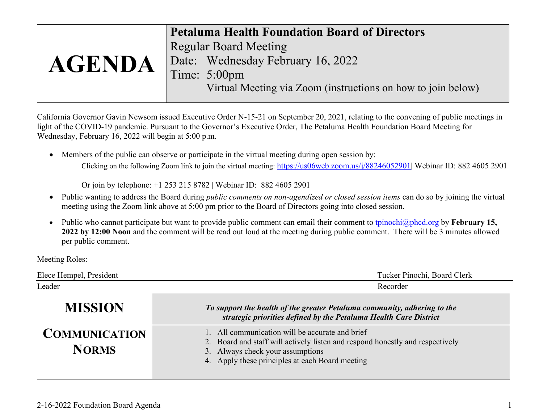|               | <b>Petaluma Health Foundation Board of Directors</b>         |
|---------------|--------------------------------------------------------------|
|               | <b>Regular Board Meeting</b>                                 |
| <b>AGENDA</b> | Date: Wednesday February 16, 2022                            |
|               | Time: 5:00pm                                                 |
|               | Virtual Meeting via Zoom (instructions on how to join below) |

California Governor Gavin Newsom issued Executive Order N-15-21 on September 20, 2021, relating to the convening of public meetings in light of the COVID-19 pandemic. Pursuant to the Governor's Executive Order, The Petaluma Health Foundation Board Meeting for Wednesday, February 16, 2022 will begin at 5:00 p.m.

• Members of the public can observe or participate in the virtual meeting during open session by: Clicking on the following Zoom link to join the virtual meeting: [https://us06web.zoom.us/j/88246052901|](https://us06web.zoom.us/j/88246052901) Webinar ID: 882 4605 2901

Or join by telephone: +1 253 215 8782 | Webinar ID: 882 4605 2901

- Public wanting to address the Board during *public comments on non-agendized or closed session items* can do so by joining the virtual meeting using the Zoom link above at 5:00 pm prior to the Board of Directors going into closed session.
- Public who cannot participate but want to provide public comment can email their comment to [tpinochi@phcd.org](mailto:tpinochi@phcd.org) by **February 15, 2022 by 12:00 Noon** and the comment will be read out loud at the meeting during public comment. There will be 3 minutes allowed per public comment.

Meeting Roles:

| Elece Hempel, President              | Tucker Pinochi, Board Clerk                                                                                                                                                                                             |  |
|--------------------------------------|-------------------------------------------------------------------------------------------------------------------------------------------------------------------------------------------------------------------------|--|
| Leader                               | Recorder                                                                                                                                                                                                                |  |
| <b>MISSION</b>                       | To support the health of the greater Petaluma community, adhering to the<br>strategic priorities defined by the Petaluma Health Care District                                                                           |  |
| <b>COMMUNICATION</b><br><b>NORMS</b> | 1. All communication will be accurate and brief<br>2. Board and staff will actively listen and respond honestly and respectively<br>3. Always check your assumptions<br>4. Apply these principles at each Board meeting |  |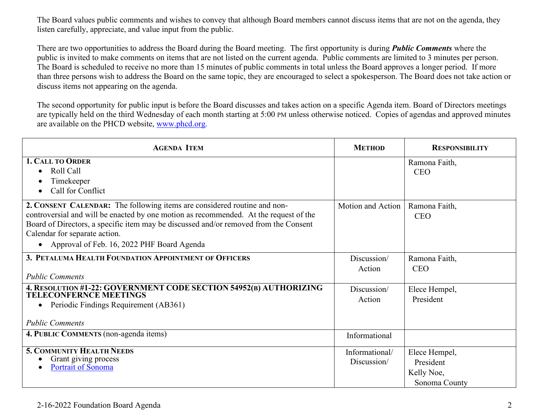The Board values public comments and wishes to convey that although Board members cannot discuss items that are not on the agenda, they listen carefully, appreciate, and value input from the public.

There are two opportunities to address the Board during the Board meeting. The first opportunity is during *Public Comments* where the public is invited to make comments on items that are not listed on the current agenda. Public comments are limited to 3 minutes per person. The Board is scheduled to receive no more than 15 minutes of public comments in total unless the Board approves a longer period. If more than three persons wish to address the Board on the same topic, they are encouraged to select a spokesperson. The Board does not take action or discuss items not appearing on the agenda.

The second opportunity for public input is before the Board discusses and takes action on a specific Agenda item. Board of Directors meetings are typically held on the third Wednesday of each month starting at 5:00 PM unless otherwise noticed. Copies of agendas and approved minutes are available on the PHCD website, [www.phcd.org.](http://www.phcd.org/)

| <b>AGENDA ITEM</b>                                                                                                                                                                                                                                                                                                                                    | <b>METHOD</b>                 | <b>RESPONSIBILITY</b>                                     |
|-------------------------------------------------------------------------------------------------------------------------------------------------------------------------------------------------------------------------------------------------------------------------------------------------------------------------------------------------------|-------------------------------|-----------------------------------------------------------|
| 1. CALL TO ORDER<br>Roll Call<br>Timekeeper<br>Call for Conflict                                                                                                                                                                                                                                                                                      |                               | Ramona Faith,<br><b>CEO</b>                               |
| 2. CONSENT CALENDAR: The following items are considered routine and non-<br>controversial and will be enacted by one motion as recommended. At the request of the<br>Board of Directors, a specific item may be discussed and/or removed from the Consent<br>Calendar for separate action.<br>Approval of Feb. 16, 2022 PHF Board Agenda<br>$\bullet$ | Motion and Action             | Ramona Faith,<br><b>CEO</b>                               |
| 3. PETALUMA HEALTH FOUNDATION APPOINTMENT OF OFFICERS<br><b>Public Comments</b>                                                                                                                                                                                                                                                                       | Discussion/<br>Action         | Ramona Faith,<br><b>CEO</b>                               |
| 4. RESOLUTION #1-22: GOVERNMENT CODE SECTION 54952(B) AUTHORIZING<br><b>TELECONFERNCE MEETINGS</b><br>Periodic Findings Requirement (AB361)<br><b>Public Comments</b>                                                                                                                                                                                 | Discussion/<br>Action         | Elece Hempel,<br>President                                |
| 4. PUBLIC COMMENTS (non-agenda items)                                                                                                                                                                                                                                                                                                                 | Informational                 |                                                           |
| <b>5. COMMUNITY HEALTH NEEDS</b><br>Grant giving process<br>Portrait of Sonoma                                                                                                                                                                                                                                                                        | Informational/<br>Discussion/ | Elece Hempel,<br>President<br>Kelly Noe,<br>Sonoma County |